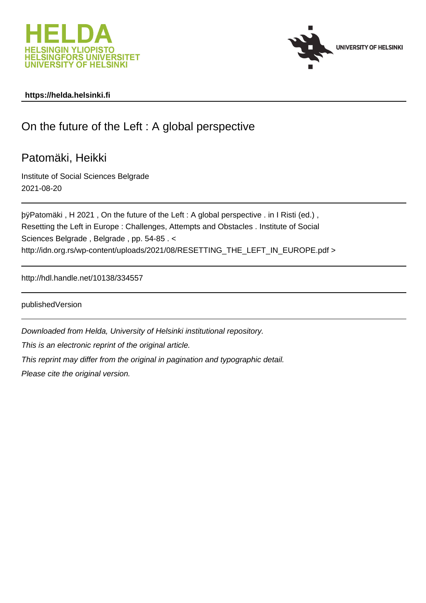



# **https://helda.helsinki.fi**

# On the future of the Left : A global perspective

Patomäki, Heikki

Institute of Social Sciences Belgrade 2021-08-20

by Patomäki, H 2021, On the future of the Left : A global perspective. Resetting the Left in Europe : Challenges, Attempts and Obstacles . Institute of Social Sciences Belgrade , Belgrade , pp. 54-85 . < http://idn.org.rs/wp-content/uploads/2021/08/RESETTING\_THE\_LEFT\_IN\_EUROPE.pdf >

http://hdl.handle.net/10138/334557

publishedVersion

Downloaded from Helda, University of Helsinki institutional repository.

This is an electronic reprint of the original article.

This reprint may differ from the original in pagination and typographic detail.

Please cite the original version.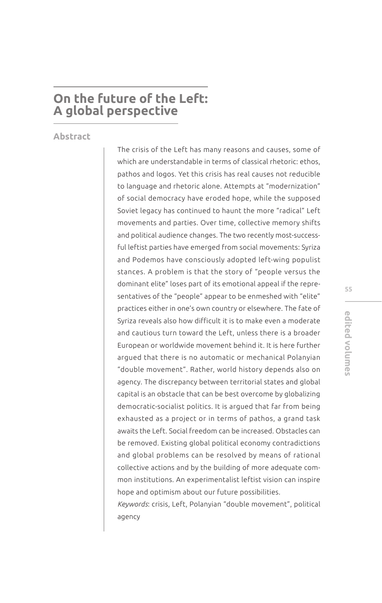# **On the future of the Left: A global perspective**

**Abstract** 

The crisis of the Left has many reasons and causes, some of which are understandable in terms of classical rhetoric: ethos, pathos and logos. Yet this crisis has real causes not reducible to language and rhetoric alone. Attempts at "modernization" of social democracy have eroded hope, while the supposed Soviet legacy has continued to haunt the more "radical" Left movements and parties. Over time, collective memory shifts and political audience changes. The two recently most-successful leftist parties have emerged from social movements: Syriza and Podemos have consciously adopted left-wing populist stances. A problem is that the story of "people versus the dominant elite" loses part of its emotional appeal if the representatives of the "people" appear to be enmeshed with "elite" practices either in one's own country or elsewhere. The fate of Syriza reveals also how difficult it is to make even a moderate and cautious turn toward the Left, unless there is a broader European or worldwide movement behind it. It is here further argued that there is no automatic or mechanical Polanyian "double movement". Rather, world history depends also on agency. The discrepancy between territorial states and global capital is an obstacle that can be best overcome by globalizing democratic-socialist politics. It is argued that far from being exhausted as a project or in terms of pathos, a grand task awaits the Left. Social freedom can be increased. Obstacles can be removed. Existing global political economy contradictions and global problems can be resolved by means of rational collective actions and by the building of more adequate common institutions. An experimentalist leftist vision can inspire hope and optimism about our future possibilities.

*Keywords*: crisis, Left, Polanyian "double movement", political agency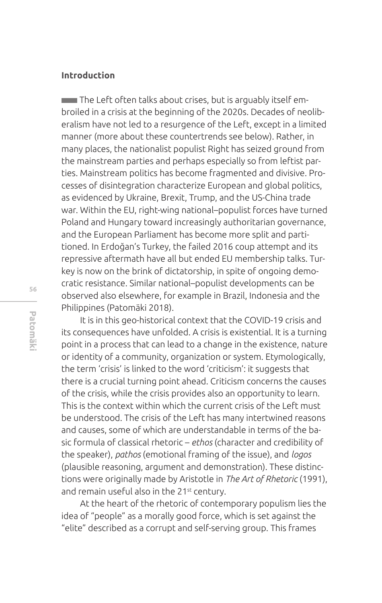## **Introduction**

 The Left often talks about crises, but is arguably itself embroiled in a crisis at the beginning of the 2020s. Decades of neoliberalism have not led to a resurgence of the Left, except in a limited manner (more about these countertrends see below). Rather, in many places, the nationalist populist Right has seized ground from the mainstream parties and perhaps especially so from leftist parties. Mainstream politics has become fragmented and divisive. Processes of disintegration characterize European and global politics, as evidenced by Ukraine, Brexit, Trump, and the US-China trade war. Within the EU, right-wing national–populist forces have turned Poland and Hungary toward increasingly authoritarian governance, and the European Parliament has become more split and partitioned. In Erdoğan's Turkey, the failed 2016 coup attempt and its repressive aftermath have all but ended EU membership talks. Turkey is now on the brink of dictatorship, in spite of ongoing democratic resistance. Similar national–populist developments can be observed also elsewhere, for example in Brazil, Indonesia and the Philippines (Patomäki 2018).

It is in this geo-historical context that the COVID-19 crisis and its consequences have unfolded. A crisis is existential. It is a turning point in a process that can lead to a change in the existence, nature or identity of a community, organization or system. Etymologically, the term 'crisis' is linked to the word 'criticism': it suggests that there is a crucial turning point ahead. Criticism concerns the causes of the crisis, while the crisis provides also an opportunity to learn. This is the context within which the current crisis of the Left must be understood. The crisis of the Left has many intertwined reasons and causes, some of which are understandable in terms of the basic formula of classical rhetoric – *ethos* (character and credibility of the speaker), *pathos* (emotional framing of the issue), and *logos* (plausible reasoning, argument and demonstration). These distinctions were originally made by Aristotle in *The Art of Rhetoric* (1991), and remain useful also in the 21<sup>st</sup> century.

At the heart of the rhetoric of contemporary populism lies the idea of "people" as a morally good force, which is set against the "elite" described as a corrupt and self-serving group. This frames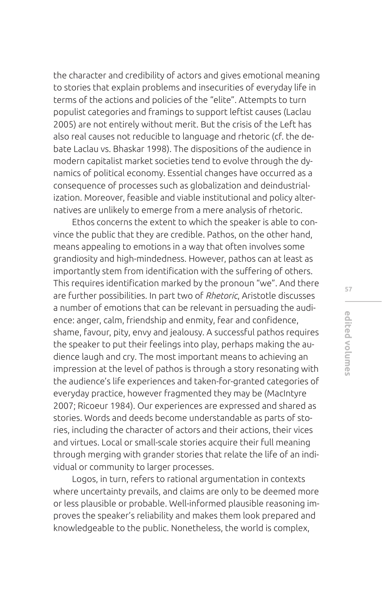the character and credibility of actors and gives emotional meaning to stories that explain problems and insecurities of everyday life in terms of the actions and policies of the "elite". Attempts to turn populist categories and framings to support leftist causes (Laclau 2005) are not entirely without merit. But the crisis of the Left has also real causes not reducible to language and rhetoric (cf. the debate Laclau vs. Bhaskar 1998). The dispositions of the audience in modern capitalist market societies tend to evolve through the dynamics of political economy. Essential changes have occurred as a consequence of processes such as globalization and deindustrialization. Moreover, feasible and viable institutional and policy alternatives are unlikely to emerge from a mere analysis of rhetoric.

Ethos concerns the extent to which the speaker is able to convince the public that they are credible. Pathos, on the other hand, means appealing to emotions in a way that often involves some grandiosity and high-mindedness. However, pathos can at least as importantly stem from identification with the suffering of others. This requires identification marked by the pronoun "we". And there are further possibilities. In part two of *Rhetoric*, Aristotle discusses a number of emotions that can be relevant in persuading the audience: anger, calm, friendship and enmity, fear and confdence, shame, favour, pity, envy and jealousy. A successful pathos requires the speaker to put their feelings into play, perhaps making the audience laugh and cry. The most important means to achieving an impression at the level of pathos is through a story resonating with the audience's life experiences and taken-for-granted categories of everyday practice, however fragmented they may be (MacIntyre 2007; Ricoeur 1984). Our experiences are expressed and shared as stories. Words and deeds become understandable as parts of stories, including the character of actors and their actions, their vices and virtues. Local or small-scale stories acquire their full meaning through merging with grander stories that relate the life of an individual or community to larger processes.

Logos, in turn, refers to rational argumentation in contexts where uncertainty prevails, and claims are only to be deemed more or less plausible or probable. Well-informed plausible reasoning improves the speaker's reliability and makes them look prepared and knowledgeable to the public. Nonetheless, the world is complex,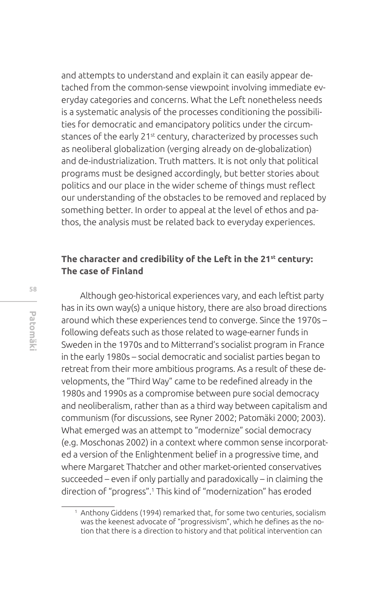and attempts to understand and explain it can easily appear detached from the common-sense viewpoint involving immediate everyday categories and concerns. What the Left nonetheless needs is a systematic analysis of the processes conditioning the possibilities for democratic and emancipatory politics under the circumstances of the early 21<sup>st</sup> century, characterized by processes such as neoliberal globalization (verging already on de-globalization) and de-industrialization. Truth matters. It is not only that political programs must be designed accordingly, but better stories about politics and our place in the wider scheme of things must refect our understanding of the obstacles to be removed and replaced by something better. In order to appeal at the level of ethos and pathos, the analysis must be related back to everyday experiences.

# **The character and credibility of the Left in the 21st century: The case of Finland**

Although geo-historical experiences vary, and each leftist party has in its own way(s) a unique history, there are also broad directions around which these experiences tend to converge. Since the 1970s – following defeats such as those related to wage-earner funds in Sweden in the 1970s and to Mitterrand's socialist program in France in the early 1980s – social democratic and socialist parties began to retreat from their more ambitious programs. As a result of these developments, the "Third Way" came to be redefined already in the 1980s and 1990s as a compromise between pure social democracy and neoliberalism, rather than as a third way between capitalism and communism (for discussions, see Ryner 2002; Patomäki 2000; 2003). What emerged was an attempt to "modernize" social democracy (e.g. Moschonas 2002) in a context where common sense incorporated a version of the Enlightenment belief in a progressive time, and where Margaret Thatcher and other market-oriented conservatives succeeded – even if only partially and paradoxically – in claiming the direction of "progress".1 This kind of "modernization" has eroded

<sup>1</sup> Anthony Giddens (1994) remarked that, for some two centuries, socialism was the keenest advocate of "progressivism", which he defines as the notion that there is a direction to history and that political intervention can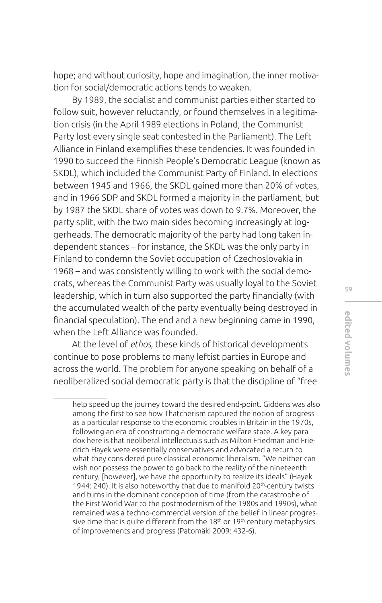hope; and without curiosity, hope and imagination, the inner motivation for social/democratic actions tends to weaken.

By 1989, the socialist and communist parties either started to follow suit, however reluctantly, or found themselves in a legitimation crisis (in the April 1989 elections in Poland, the Communist Party lost every single seat contested in the Parliament). The Left Alliance in Finland exemplifes these tendencies. It was founded in 1990 to succeed the Finnish People's Democratic League (known as SKDL), which included the Communist Party of Finland. In elections between 1945 and 1966, the SKDL gained more than 20% of votes, and in 1966 SDP and SKDL formed a majority in the parliament, but by 1987 the SKDL share of votes was down to 9.7%. Moreover, the party split, with the two main sides becoming increasingly at loggerheads. The democratic majority of the party had long taken independent stances – for instance, the SKDL was the only party in Finland to condemn the Soviet occupation of Czechoslovakia in 1968 – and was consistently willing to work with the social democrats, whereas the Communist Party was usually loyal to the Soviet leadership, which in turn also supported the party fnancially (with the accumulated wealth of the party eventually being destroyed in fnancial speculation). The end and a new beginning came in 1990, when the Left Alliance was founded.

At the level of *ethos*, these kinds of historical developments continue to pose problems to many leftist parties in Europe and across the world. The problem for anyone speaking on behalf of a neoliberalized social democratic party is that the discipline of "free

help speed up the journey toward the desired end-point. Giddens was also among the frst to see how Thatcherism captured the notion of progress as a particular response to the economic troubles in Britain in the 1970s, following an era of constructing a democratic welfare state. A key paradox here is that neoliberal intellectuals such as Milton Friedman and Friedrich Hayek were essentially conservatives and advocated a return to what they considered pure classical economic liberalism. "We neither can wish nor possess the power to go back to the reality of the nineteenth century, [however], we have the opportunity to realize its ideals" (Hayek 1944: 240). It is also noteworthy that due to manifold 20<sup>th</sup>-century twists and turns in the dominant conception of time (from the catastrophe of the First World War to the postmodernism of the 1980s and 1990s), what remained was a techno-commercial version of the belief in linear progressive time that is quite different from the  $18<sup>th</sup>$  or  $19<sup>th</sup>$  century metaphysics of improvements and progress (Patomäki 2009: 432-6).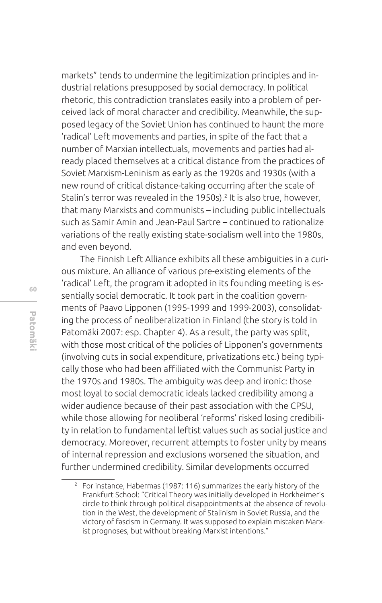markets" tends to undermine the legitimization principles and industrial relations presupposed by social democracy. In political rhetoric, this contradiction translates easily into a problem of perceived lack of moral character and credibility. Meanwhile, the supposed legacy of the Soviet Union has continued to haunt the more 'radical' Left movements and parties, in spite of the fact that a number of Marxian intellectuals, movements and parties had already placed themselves at a critical distance from the practices of Soviet Marxism-Leninism as early as the 1920s and 1930s (with a new round of critical distance-taking occurring after the scale of Stalin's terror was revealed in the 1950s).<sup>2</sup> It is also true, however, that many Marxists and communists – including public intellectuals such as Samir Amin and Jean-Paul Sartre – continued to rationalize variations of the really existing state-socialism well into the 1980s, and even beyond.

The Finnish Left Alliance exhibits all these ambiguities in a curious mixture. An alliance of various pre-existing elements of the 'radical' Left, the program it adopted in its founding meeting is essentially social democratic. It took part in the coalition governments of Paavo Lipponen (1995-1999 and 1999-2003), consolidating the process of neoliberalization in Finland (the story is told in Patomäki 2007: esp. Chapter 4). As a result, the party was split, with those most critical of the policies of Lipponen's governments (involving cuts in social expenditure, privatizations etc.) being typically those who had been affiliated with the Communist Party in the 1970s and 1980s. The ambiguity was deep and ironic: those most loyal to social democratic ideals lacked credibility among a wider audience because of their past association with the CPSU, while those allowing for neoliberal 'reforms' risked losing credibility in relation to fundamental leftist values such as social justice and democracy. Moreover, recurrent attempts to foster unity by means of internal repression and exclusions worsened the situation, and further undermined credibility. Similar developments occurred

<sup>2</sup> For instance, Habermas (1987: 116) summarizes the early history of the Frankfurt School: "Critical Theory was initially developed in Horkheimer's circle to think through political disappointments at the absence of revolution in the West, the development of Stalinism in Soviet Russia, and the victory of fascism in Germany. It was supposed to explain mistaken Marxist prognoses, but without breaking Marxist intentions."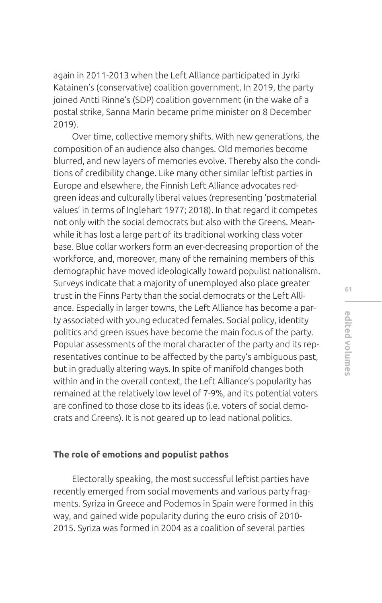again in 2011-2013 when the Left Alliance participated in Jyrki Katainen's (conservative) coalition government. In 2019, the party joined Antti Rinne's (SDP) coalition government (in the wake of a postal strike, Sanna Marin became prime minister on 8 December 2019).

Over time, collective memory shifts. With new generations, the composition of an audience also changes. Old memories become blurred, and new layers of memories evolve. Thereby also the conditions of credibility change. Like many other similar leftist parties in Europe and elsewhere, the Finnish Left Alliance advocates redgreen ideas and culturally liberal values (representing 'postmaterial values' in terms of Inglehart 1977; 2018). In that regard it competes not only with the social democrats but also with the Greens. Meanwhile it has lost a large part of its traditional working class voter base. Blue collar workers form an ever-decreasing proportion of the workforce, and, moreover, many of the remaining members of this demographic have moved ideologically toward populist nationalism. Surveys indicate that a majority of unemployed also place greater trust in the Finns Party than the social democrats or the Left Alliance. Especially in larger towns, the Left Alliance has become a party associated with young educated females. Social policy, identity politics and green issues have become the main focus of the party. Popular assessments of the moral character of the party and its representatives continue to be affected by the party's ambiguous past, but in gradually altering ways. In spite of manifold changes both within and in the overall context, the Left Alliance's popularity has remained at the relatively low level of 7-9%, and its potential voters are confined to those close to its ideas (i.e. voters of social democrats and Greens). It is not geared up to lead national politics.

#### **The role of emotions and populist pathos**

Electorally speaking, the most successful leftist parties have recently emerged from social movements and various party fragments. Syriza in Greece and Podemos in Spain were formed in this way, and gained wide popularity during the euro crisis of 2010- 2015. Syriza was formed in 2004 as a coalition of several parties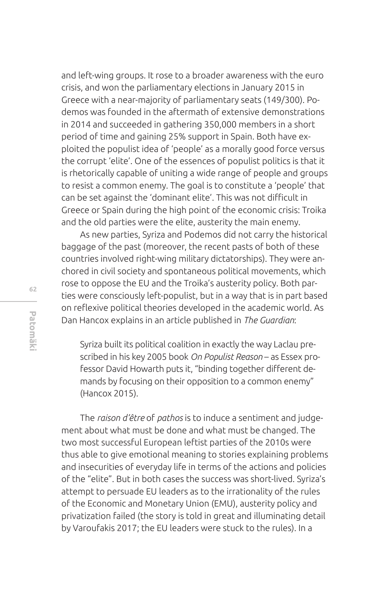and left-wing groups. It rose to a broader awareness with the euro crisis, and won the parliamentary elections in January 2015 in Greece with a near-majority of parliamentary seats (149/300). Podemos was founded in the aftermath of extensive demonstrations in 2014 and succeeded in gathering 350,000 members in a short period of time and gaining 25% support in Spain. Both have exploited the populist idea of 'people' as a morally good force versus the corrupt 'elite'. One of the essences of populist politics is that it is rhetorically capable of uniting a wide range of people and groups to resist a common enemy. The goal is to constitute a 'people' that can be set against the 'dominant elite'. This was not difficult in Greece or Spain during the high point of the economic crisis: Troika and the old parties were the elite, austerity the main enemy.

As new parties, Syriza and Podemos did not carry the historical baggage of the past (moreover, the recent pasts of both of these countries involved right-wing military dictatorships). They were anchored in civil society and spontaneous political movements, which rose to oppose the EU and the Troika's austerity policy. Both parties were consciously left-populist, but in a way that is in part based on reflexive political theories developed in the academic world. As Dan Hancox explains in an article published in *The Guardian*:

Syriza built its political coalition in exactly the way Laclau prescribed in his key 2005 book *On Populist Reason* – as Essex professor David Howarth puts it, "binding together different demands by focusing on their opposition to a common enemy" (Hancox 2015).

The *raison d'être* of *pathos* is to induce a sentiment and judgement about what must be done and what must be changed. The two most successful European leftist parties of the 2010s were thus able to give emotional meaning to stories explaining problems and insecurities of everyday life in terms of the actions and policies of the "elite". But in both cases the success was short-lived. Syriza's attempt to persuade EU leaders as to the irrationality of the rules of the Economic and Monetary Union (EMU), austerity policy and privatization failed (the story is told in great and illuminating detail by Varoufakis 2017; the EU leaders were stuck to the rules). In a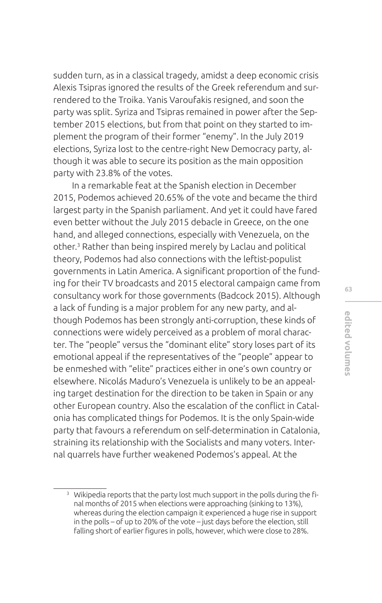sudden turn, as in a classical tragedy, amidst a deep economic crisis Alexis Tsipras ignored the results of the Greek referendum and surrendered to the Troika. Yanis Varoufakis resigned, and soon the party was split. Syriza and Tsipras remained in power after the September 2015 elections, but from that point on they started to implement the program of their former "enemy". In the July 2019 elections, Syriza lost to the centre-right New Democracy party, although it was able to secure its position as the main opposition party with 23.8% of the votes.

In a remarkable feat at the Spanish election in December 2015, Podemos achieved 20.65% of the vote and became the third largest party in the Spanish parliament. And yet it could have fared even better without the July 2015 debacle in Greece, on the one hand, and alleged connections, especially with Venezuela, on the other.<sup>3</sup> Rather than being inspired merely by Laclau and political theory, Podemos had also connections with the leftist-populist governments in Latin America. A significant proportion of the funding for their TV broadcasts and 2015 electoral campaign came from consultancy work for those governments (Badcock 2015). Although a lack of funding is a major problem for any new party, and although Podemos has been strongly anti-corruption, these kinds of connections were widely perceived as a problem of moral character. The "people" versus the "dominant elite" story loses part of its emotional appeal if the representatives of the "people" appear to be enmeshed with "elite" practices either in one's own country or elsewhere. Nicolás Maduro's Venezuela is unlikely to be an appealing target destination for the direction to be taken in Spain or any other European country. Also the escalation of the confict in Catalonia has complicated things for Podemos. It is the only Spain-wide party that favours a referendum on self-determination in Catalonia, straining its relationship with the Socialists and many voters. Internal quarrels have further weakened Podemos's appeal. At the

<sup>&</sup>lt;sup>3</sup> Wikipedia reports that the party lost much support in the polls during the final months of 2015 when elections were approaching (sinking to 13%), whereas during the election campaign it experienced a huge rise in support in the polls – of up to 20% of the vote – just days before the election, still falling short of earlier figures in polls, however, which were close to 28%.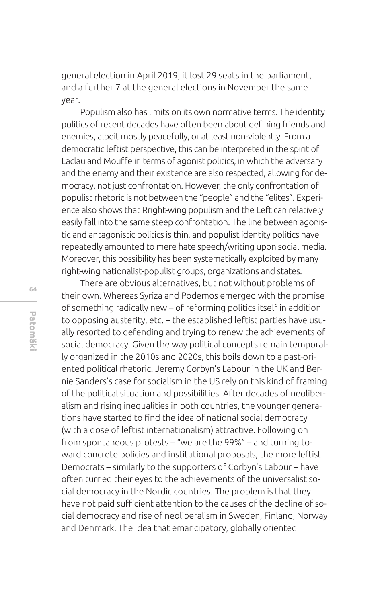general election in April 2019, it lost 29 seats in the parliament, and a further 7 at the general elections in November the same year.

Populism also has limits on its own normative terms. The identity politics of recent decades have often been about defining friends and enemies, albeit mostly peacefully, or at least non-violently. From a democratic leftist perspective, this can be interpreted in the spirit of Laclau and Mouffe in terms of agonist politics, in which the adversary and the enemy and their existence are also respected, allowing for democracy, not just confrontation. However, the only confrontation of populist rhetoric is not between the "people" and the "elites". Experience also shows that Rright-wing populism and the Left can relatively easily fall into the same steep confrontation. The line between agonistic and antagonistic politics is thin, and populist identity politics have repeatedly amounted to mere hate speech/writing upon social media. Moreover, this possibility has been systematically exploited by many right-wing nationalist-populist groups, organizations and states.

There are obvious alternatives, but not without problems of their own. Whereas Syriza and Podemos emerged with the promise of something radically new – of reforming politics itself in addition to opposing austerity, etc. – the established leftist parties have usually resorted to defending and trying to renew the achievements of social democracy. Given the way political concepts remain temporally organized in the 2010s and 2020s, this boils down to a past-oriented political rhetoric. Jeremy Corbyn's Labour in the UK and Bernie Sanders's case for socialism in the US rely on this kind of framing of the political situation and possibilities. After decades of neoliberalism and rising inequalities in both countries, the younger generations have started to find the idea of national social democracy (with a dose of leftist internationalism) attractive. Following on from spontaneous protests – "we are the 99%" – and turning toward concrete policies and institutional proposals, the more leftist Democrats – similarly to the supporters of Corbyn's Labour – have often turned their eyes to the achievements of the universalist social democracy in the Nordic countries. The problem is that they have not paid sufficient attention to the causes of the decline of social democracy and rise of neoliberalism in Sweden, Finland, Norway and Denmark. The idea that emancipatory, globally oriented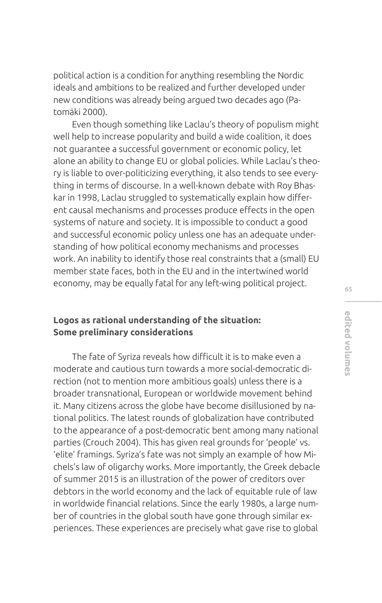political action is a condition for anything resembling the Nordic ideals and ambitions to be realized and further developed under new conditions was already being argued two decades ago (Patomäki 2000).

Even though something like Laclau's theory of populism might well help to increase popularity and build a wide coalition, it does not guarantee a successful government or economic policy, let alone an ability to change EU or global policies. While Laclau's theory is liable to over-politicizing everything, it also tends to see everything in terms of discourse. In a well-known debate with Roy Bhaskar in 1998, Laclau struggled to systematically explain how diferent causal mechanisms and processes produce effects in the open systems of nature and society. It is impossible to conduct a good and successful economic policy unless one has an adequate understanding of how political economy mechanisms and processes work. An inability to identify those real constraints that a (small) EU member state faces, both in the EU and in the intertwined world economy, may be equally fatal for any left-wing political project.

## **Logos as rational understanding of the situation: Some preliminary considerations**

The fate of Syriza reveals how difficult it is to make even a moderate and cautious turn towards a more social-democratic direction (not to mention more ambitious goals) unless there is a broader transnational, European or worldwide movement behind it. Many citizens across the globe have become disillusioned by national politics. The latest rounds of globalization have contributed to the appearance of a post-democratic bent among many national parties (Crouch 2004). This has given real grounds for 'people' vs. 'elite' framings. Syriza's fate was not simply an example of how Michels's law of oligarchy works. More importantly, the Greek debacle of summer 2015 is an illustration of the power of creditors over debtors in the world economy and the lack of equitable rule of law in worldwide fnancial relations. Since the early 1980s, a large number of countries in the global south have gone through similar experiences. These experiences are precisely what gave rise to global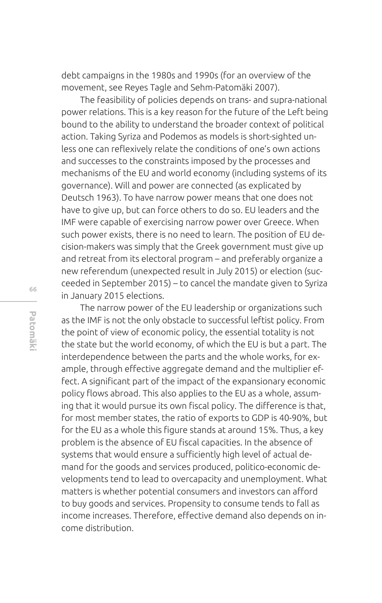debt campaigns in the 1980s and 1990s (for an overview of the movement, see Reyes Tagle and Sehm-Patomäki 2007).

The feasibility of policies depends on trans- and supra-national power relations. This is a key reason for the future of the Left being bound to the ability to understand the broader context of political action. Taking Syriza and Podemos as models is short-sighted unless one can refexively relate the conditions of one's own actions and successes to the constraints imposed by the processes and mechanisms of the EU and world economy (including systems of its governance). Will and power are connected (as explicated by Deutsch 1963). To have narrow power means that one does not have to give up, but can force others to do so. EU leaders and the IMF were capable of exercising narrow power over Greece. When such power exists, there is no need to learn. The position of EU decision-makers was simply that the Greek government must give up and retreat from its electoral program – and preferably organize a new referendum (unexpected result in July 2015) or election (succeeded in September 2015) – to cancel the mandate given to Syriza in January 2015 elections.

The narrow power of the EU leadership or organizations such as the IMF is not the only obstacle to successful leftist policy. From the point of view of economic policy, the essential totality is not the state but the world economy, of which the EU is but a part. The interdependence between the parts and the whole works, for example, through effective aggregate demand and the multiplier effect. A significant part of the impact of the expansionary economic policy flows abroad. This also applies to the EU as a whole, assuming that it would pursue its own fiscal policy. The difference is that, for most member states, the ratio of exports to GDP is 40-90%, but for the EU as a whole this figure stands at around 15%. Thus, a key problem is the absence of EU fiscal capacities. In the absence of systems that would ensure a sufficiently high level of actual demand for the goods and services produced, politico-economic developments tend to lead to overcapacity and unemployment. What matters is whether potential consumers and investors can afford to buy goods and services. Propensity to consume tends to fall as income increases. Therefore, effective demand also depends on income distribution.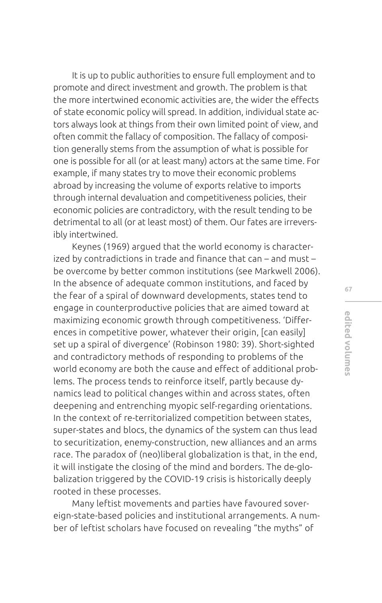It is up to public authorities to ensure full employment and to promote and direct investment and growth. The problem is that the more intertwined economic activities are, the wider the efects of state economic policy will spread. In addition, individual state actors always look at things from their own limited point of view, and often commit the fallacy of composition. The fallacy of composition generally stems from the assumption of what is possible for one is possible for all (or at least many) actors at the same time. For example, if many states try to move their economic problems abroad by increasing the volume of exports relative to imports through internal devaluation and competitiveness policies, their economic policies are contradictory, with the result tending to be detrimental to all (or at least most) of them. Our fates are irreversibly intertwined.

Keynes (1969) argued that the world economy is characterized by contradictions in trade and fnance that can – and must – be overcome by better common institutions (see Markwell 2006). In the absence of adequate common institutions, and faced by the fear of a spiral of downward developments, states tend to engage in counterproductive policies that are aimed toward at maximizing economic growth through competitiveness. 'Diferences in competitive power, whatever their origin, [can easily] set up a spiral of divergence' (Robinson 1980: 39). Short-sighted and contradictory methods of responding to problems of the world economy are both the cause and effect of additional problems. The process tends to reinforce itself, partly because dynamics lead to political changes within and across states, often deepening and entrenching myopic self-regarding orientations. In the context of re-territorialized competition between states, super-states and blocs, the dynamics of the system can thus lead to securitization, enemy-construction, new alliances and an arms race. The paradox of (neo)liberal globalization is that, in the end, it will instigate the closing of the mind and borders. The de-globalization triggered by the COVID-19 crisis is historically deeply rooted in these processes.

Many leftist movements and parties have favoured sovereign-state-based policies and institutional arrangements. A number of leftist scholars have focused on revealing "the myths" of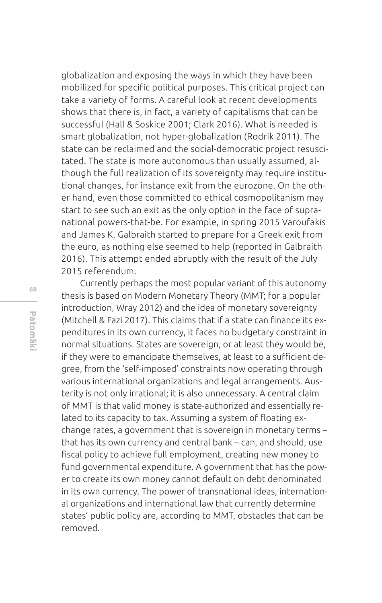globalization and exposing the ways in which they have been mobilized for specific political purposes. This critical project can take a variety of forms. A careful look at recent developments shows that there is, in fact, a variety of capitalisms that can be successful (Hall & Soskice 2001; Clark 2016). What is needed is smart globalization, not hyper-globalization (Rodrik 2011). The state can be reclaimed and the social-democratic project resuscitated. The state is more autonomous than usually assumed, although the full realization of its sovereignty may require institutional changes, for instance exit from the eurozone. On the other hand, even those committed to ethical cosmopolitanism may start to see such an exit as the only option in the face of supranational powers-that-be. For example, in spring 2015 Varoufakis and James K. Galbraith started to prepare for a Greek exit from the euro, as nothing else seemed to help (reported in Galbraith 2016). This attempt ended abruptly with the result of the July 2015 referendum.

Currently perhaps the most popular variant of this autonomy thesis is based on Modern Monetary Theory (MMT; for a popular introduction, Wray 2012) and the idea of monetary sovereignty (Mitchell & Fazi 2017). This claims that if a state can finance its expenditures in its own currency, it faces no budgetary constraint in normal situations. States are sovereign, or at least they would be, if they were to emancipate themselves, at least to a sufficient degree, from the 'self-imposed' constraints now operating through various international organizations and legal arrangements. Austerity is not only irrational; it is also unnecessary. A central claim of MMT is that valid money is state-authorized and essentially related to its capacity to tax. Assuming a system of floating exchange rates, a government that is sovereign in monetary terms – that has its own currency and central bank – can, and should, use fiscal policy to achieve full employment, creating new money to fund governmental expenditure. A government that has the power to create its own money cannot default on debt denominated in its own currency. The power of transnational ideas, international organizations and international law that currently determine states' public policy are, according to MMT, obstacles that can be removed.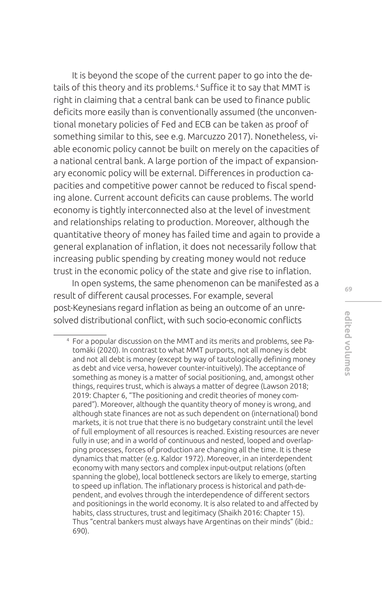It is beyond the scope of the current paper to go into the details of this theory and its problems.<sup>4</sup> Suffice it to say that MMT is right in claiming that a central bank can be used to fnance public deficits more easily than is conventionally assumed (the unconventional monetary policies of Fed and ECB can be taken as proof of something similar to this, see e.g. Marcuzzo 2017). Nonetheless, viable economic policy cannot be built on merely on the capacities of a national central bank. A large portion of the impact of expansionary economic policy will be external. Diferences in production capacities and competitive power cannot be reduced to fiscal spending alone. Current account deficits can cause problems. The world economy is tightly interconnected also at the level of investment and relationships relating to production. Moreover, although the quantitative theory of money has failed time and again to provide a general explanation of infation, it does not necessarily follow that increasing public spending by creating money would not reduce trust in the economic policy of the state and give rise to infation.

In open systems, the same phenomenon can be manifested as a result of diferent causal processes. For example, several post-Keynesians regard inflation as being an outcome of an unresolved distributional confict, with such socio-economic conficts

<sup>4</sup> For a popular discussion on the MMT and its merits and problems, see Patomäki (2020). In contrast to what MMT purports, not all money is debt and not all debt is money (except by way of tautologically defining money as debt and vice versa, however counter-intuitively). The acceptance of something as money is a matter of social positioning, and, amongst other things, requires trust, which is always a matter of degree (Lawson 2018; 2019: Chapter 6, "The positioning and credit theories of money compared"). Moreover, although the quantity theory of money is wrong, and although state fnances are not as such dependent on (international) bond markets, it is not true that there is no budgetary constraint until the level of full employment of all resources is reached. Existing resources are never fully in use; and in a world of continuous and nested, looped and overlapping processes, forces of production are changing all the time. It is these dynamics that matter (e.g. Kaldor 1972). Moreover, in an interdependent economy with many sectors and complex input-output relations (often spanning the globe), local bottleneck sectors are likely to emerge, starting to speed up inflation. The inflationary process is historical and path-dependent, and evolves through the interdependence of diferent sectors and positionings in the world economy. It is also related to and afected by habits, class structures, trust and legitimacy (Shaikh 2016: Chapter 15). Thus "central bankers must always have Argentinas on their minds" (ibid.: 690).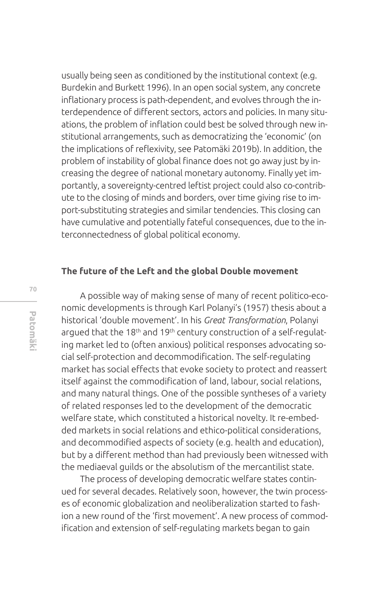usually being seen as conditioned by the institutional context (e.g. Burdekin and Burkett 1996). In an open social system, any concrete infationary process is path-dependent, and evolves through the interdependence of diferent sectors, actors and policies. In many situations, the problem of infation could best be solved through new institutional arrangements, such as democratizing the 'economic' (on the implications of refexivity, see Patomäki 2019b). In addition, the problem of instability of global fnance does not go away just by increasing the degree of national monetary autonomy. Finally yet importantly, a sovereignty-centred leftist project could also co-contribute to the closing of minds and borders, over time giving rise to import-substituting strategies and similar tendencies. This closing can have cumulative and potentially fateful consequences, due to the interconnectedness of global political economy.

#### **The future of the Left and the global Double movement**

A possible way of making sense of many of recent politico-economic developments is through Karl Polanyi's (1957) thesis about a historical 'double movement'. In his *Great Transformation*, Polanyi argued that the 18<sup>th</sup> and 19<sup>th</sup> century construction of a self-regulating market led to (often anxious) political responses advocating social self-protection and decommodifcation. The self-regulating market has social effects that evoke society to protect and reassert itself against the commodification of land, labour, social relations, and many natural things. One of the possible syntheses of a variety of related responses led to the development of the democratic welfare state, which constituted a historical novelty. It re-embedded markets in social relations and ethico-political considerations, and decommodified aspects of society (e.g. health and education), but by a diferent method than had previously been witnessed with the mediaeval guilds or the absolutism of the mercantilist state.

The process of developing democratic welfare states continued for several decades. Relatively soon, however, the twin processes of economic globalization and neoliberalization started to fashion a new round of the 'frst movement'. A new process of commodifcation and extension of self-regulating markets began to gain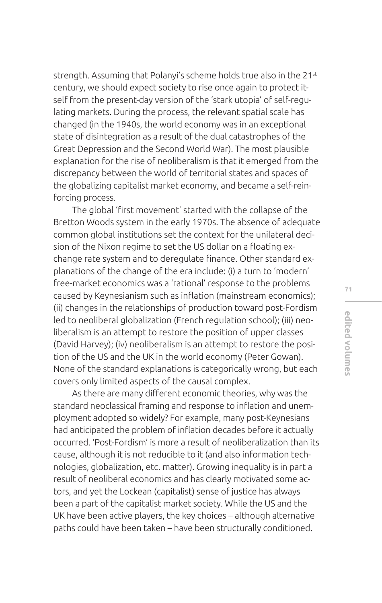strength. Assuming that Polanyi's scheme holds true also in the 21<sup>st</sup> century, we should expect society to rise once again to protect itself from the present-day version of the 'stark utopia' of self-regulating markets. During the process, the relevant spatial scale has changed (in the 1940s, the world economy was in an exceptional state of disintegration as a result of the dual catastrophes of the Great Depression and the Second World War). The most plausible explanation for the rise of neoliberalism is that it emerged from the discrepancy between the world of territorial states and spaces of the globalizing capitalist market economy, and became a self-reinforcing process.

The global 'frst movement' started with the collapse of the Bretton Woods system in the early 1970s. The absence of adequate common global institutions set the context for the unilateral decision of the Nixon regime to set the US dollar on a floating exchange rate system and to deregulate fnance. Other standard explanations of the change of the era include: (i) a turn to 'modern' free-market economics was a 'rational' response to the problems caused by Keynesianism such as inflation (mainstream economics); (ii) changes in the relationships of production toward post-Fordism led to neoliberal globalization (French regulation school); (iii) neoliberalism is an attempt to restore the position of upper classes (David Harvey); (iv) neoliberalism is an attempt to restore the position of the US and the UK in the world economy (Peter Gowan). None of the standard explanations is categorically wrong, but each covers only limited aspects of the causal complex.

As there are many diferent economic theories, why was the standard neoclassical framing and response to inflation and unemployment adopted so widely? For example, many post-Keynesians had anticipated the problem of inflation decades before it actually occurred. 'Post-Fordism' is more a result of neoliberalization than its cause, although it is not reducible to it (and also information technologies, globalization, etc. matter). Growing inequality is in part a result of neoliberal economics and has clearly motivated some actors, and yet the Lockean (capitalist) sense of justice has always been a part of the capitalist market society. While the US and the UK have been active players, the key choices – although alternative paths could have been taken – have been structurally conditioned.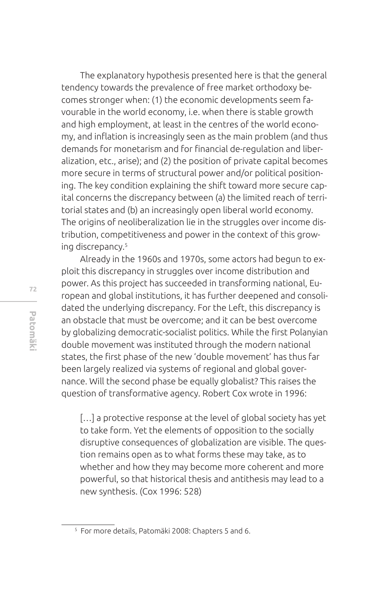The explanatory hypothesis presented here is that the general tendency towards the prevalence of free market orthodoxy becomes stronger when: (1) the economic developments seem favourable in the world economy, i.e. when there is stable growth and high employment, at least in the centres of the world economy, and infation is increasingly seen as the main problem (and thus demands for monetarism and for fnancial de-regulation and liberalization, etc., arise); and (2) the position of private capital becomes more secure in terms of structural power and/or political positioning. The key condition explaining the shift toward more secure capital concerns the discrepancy between (a) the limited reach of territorial states and (b) an increasingly open liberal world economy. The origins of neoliberalization lie in the struggles over income distribution, competitiveness and power in the context of this growing discrepancy.5

Already in the 1960s and 1970s, some actors had begun to exploit this discrepancy in struggles over income distribution and power. As this project has succeeded in transforming national, European and global institutions, it has further deepened and consolidated the underlying discrepancy. For the Left, this discrepancy is an obstacle that must be overcome; and it can be best overcome by globalizing democratic-socialist politics. While the first Polanyian double movement was instituted through the modern national states, the frst phase of the new 'double movement' has thus far been largely realized via systems of regional and global governance. Will the second phase be equally globalist? This raises the question of transformative agency. Robert Cox wrote in 1996:

[...] a protective response at the level of global society has yet to take form. Yet the elements of opposition to the socially disruptive consequences of globalization are visible. The question remains open as to what forms these may take, as to whether and how they may become more coherent and more powerful, so that historical thesis and antithesis may lead to a new synthesis. (Cox 1996: 528)

<sup>5</sup> For more details, Patomäki 2008: Chapters 5 and 6.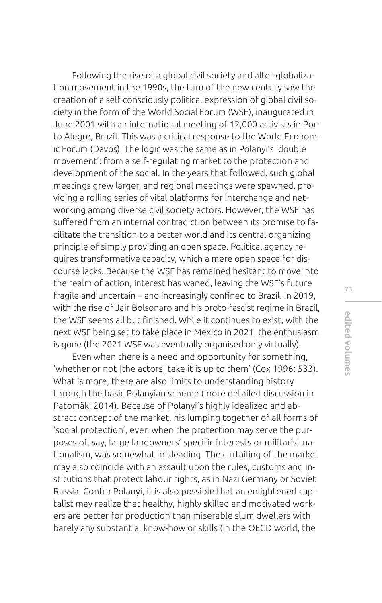Following the rise of a global civil society and alter-globalization movement in the 1990s, the turn of the new century saw the creation of a self-consciously political expression of global civil society in the form of the World Social Forum (WSF), inaugurated in June 2001 with an international meeting of 12,000 activists in Porto Alegre, Brazil. This was a critical response to the World Economic Forum (Davos). The logic was the same as in Polanyi's 'double movement': from a self-regulating market to the protection and development of the social. In the years that followed, such global meetings grew larger, and regional meetings were spawned, providing a rolling series of vital platforms for interchange and networking among diverse civil society actors. However, the WSF has suffered from an internal contradiction between its promise to facilitate the transition to a better world and its central organizing principle of simply providing an open space. Political agency requires transformative capacity, which a mere open space for discourse lacks. Because the WSF has remained hesitant to move into the realm of action, interest has waned, leaving the WSF's future fragile and uncertain – and increasingly confined to Brazil. In 2019, with the rise of Jair Bolsonaro and his proto-fascist regime in Brazil, the WSF seems all but finished. While it continues to exist, with the next WSF being set to take place in Mexico in 2021, the enthusiasm is gone (the 2021 WSF was eventually organised only virtually).

Even when there is a need and opportunity for something, 'whether or not [the actors] take it is up to them' (Cox 1996: 533). What is more, there are also limits to understanding history through the basic Polanyian scheme (more detailed discussion in Patomäki 2014). Because of Polanyi's highly idealized and abstract concept of the market, his lumping together of all forms of 'social protection', even when the protection may serve the purposes of, say, large landowners' specifc interests or militarist nationalism, was somewhat misleading. The curtailing of the market may also coincide with an assault upon the rules, customs and institutions that protect labour rights, as in Nazi Germany or Soviet Russia. Contra Polanyi, it is also possible that an enlightened capitalist may realize that healthy, highly skilled and motivated workers are better for production than miserable slum dwellers with barely any substantial know-how or skills (in the OECD world, the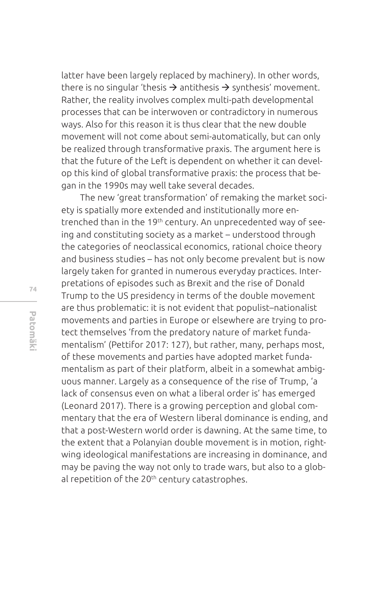latter have been largely replaced by machinery). In other words, there is no singular 'thesis  $\rightarrow$  antithesis  $\rightarrow$  synthesis' movement. Rather, the reality involves complex multi-path developmental processes that can be interwoven or contradictory in numerous ways. Also for this reason it is thus clear that the new double movement will not come about semi-automatically, but can only be realized through transformative praxis. The argument here is that the future of the Left is dependent on whether it can develop this kind of global transformative praxis: the process that began in the 1990s may well take several decades.

The new 'great transformation' of remaking the market society is spatially more extended and institutionally more entrenched than in the 19<sup>th</sup> century. An unprecedented way of seeing and constituting society as a market – understood through the categories of neoclassical economics, rational choice theory and business studies – has not only become prevalent but is now largely taken for granted in numerous everyday practices. Interpretations of episodes such as Brexit and the rise of Donald Trump to the US presidency in terms of the double movement are thus problematic: it is not evident that populist–nationalist movements and parties in Europe or elsewhere are trying to protect themselves 'from the predatory nature of market fundamentalism' (Pettifor 2017: 127), but rather, many, perhaps most, of these movements and parties have adopted market fundamentalism as part of their platform, albeit in a somewhat ambiguous manner. Largely as a consequence of the rise of Trump, 'a lack of consensus even on what a liberal order is' has emerged (Leonard 2017). There is a growing perception and global commentary that the era of Western liberal dominance is ending, and that a post-Western world order is dawning. At the same time, to the extent that a Polanyian double movement is in motion, rightwing ideological manifestations are increasing in dominance, and may be paving the way not only to trade wars, but also to a global repetition of the 20<sup>th</sup> century catastrophes.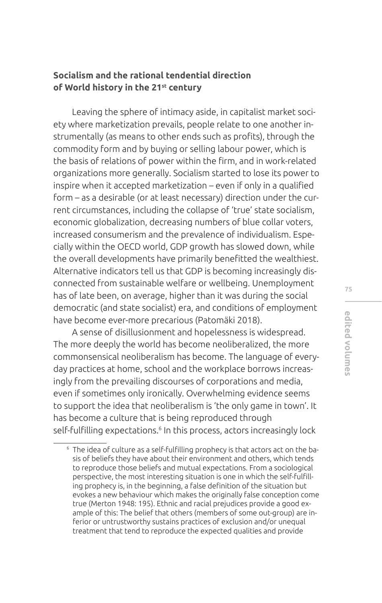# **Socialism and the rational tendential direction of World history in the 21st century**

Leaving the sphere of intimacy aside, in capitalist market society where marketization prevails, people relate to one another instrumentally (as means to other ends such as profits), through the commodity form and by buying or selling labour power, which is the basis of relations of power within the firm, and in work-related organizations more generally. Socialism started to lose its power to inspire when it accepted marketization – even if only in a qualifed form – as a desirable (or at least necessary) direction under the current circumstances, including the collapse of 'true' state socialism, economic globalization, decreasing numbers of blue collar voters, increased consumerism and the prevalence of individualism. Especially within the OECD world, GDP growth has slowed down, while the overall developments have primarily beneftted the wealthiest. Alternative indicators tell us that GDP is becoming increasingly disconnected from sustainable welfare or wellbeing. Unemployment has of late been, on average, higher than it was during the social democratic (and state socialist) era, and conditions of employment have become ever-more precarious (Patomäki 2018).

A sense of disillusionment and hopelessness is widespread. The more deeply the world has become neoliberalized, the more commonsensical neoliberalism has become. The language of everyday practices at home, school and the workplace borrows increasingly from the prevailing discourses of corporations and media, even if sometimes only ironically. Overwhelming evidence seems to support the idea that neoliberalism is 'the only game in town'. It has become a culture that is being reproduced through self-fulflling expectations.<sup>6</sup> In this process, actors increasingly lock

<sup>6</sup> The idea of culture as a self-fulflling prophecy is that actors act on the basis of beliefs they have about their environment and others, which tends to reproduce those beliefs and mutual expectations. From a sociological perspective, the most interesting situation is one in which the self-fulflling prophecy is, in the beginning, a false definition of the situation but evokes a new behaviour which makes the originally false conception come true (Merton 1948: 195). Ethnic and racial prejudices provide a good example of this: The belief that others (members of some out-group) are inferior or untrustworthy sustains practices of exclusion and/or unequal treatment that tend to reproduce the expected qualities and provide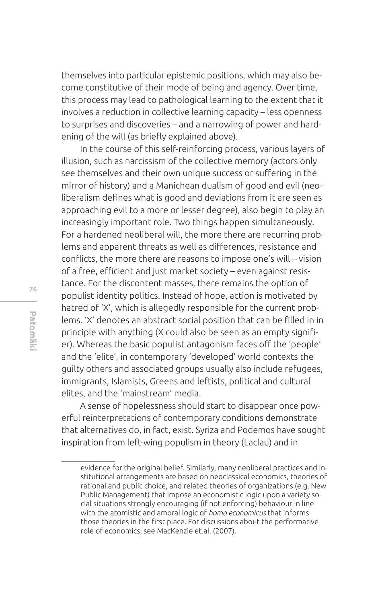themselves into particular epistemic positions, which may also become constitutive of their mode of being and agency. Over time, this process may lead to pathological learning to the extent that it involves a reduction in collective learning capacity – less openness to surprises and discoveries – and a narrowing of power and hardening of the will (as briefy explained above).

In the course of this self-reinforcing process, various layers of illusion, such as narcissism of the collective memory (actors only see themselves and their own unique success or suffering in the mirror of history) and a Manichean dualism of good and evil (neoliberalism defines what is good and deviations from it are seen as approaching evil to a more or lesser degree), also begin to play an increasingly important role. Two things happen simultaneously. For a hardened neoliberal will, the more there are recurring problems and apparent threats as well as diferences, resistance and conficts, the more there are reasons to impose one's will – vision of a free, efficient and just market society – even against resistance. For the discontent masses, there remains the option of populist identity politics. Instead of hope, action is motivated by hatred of 'X', which is allegedly responsible for the current problems. 'X' denotes an abstract social position that can be flled in in principle with anything (X could also be seen as an empty signifier). Whereas the basic populist antagonism faces off the 'people' and the 'elite', in contemporary 'developed' world contexts the guilty others and associated groups usually also include refugees, immigrants, Islamists, Greens and leftists, political and cultural elites, and the 'mainstream' media.

A sense of hopelessness should start to disappear once powerful reinterpretations of contemporary conditions demonstrate that alternatives do, in fact, exist. Syriza and Podemos have sought inspiration from left-wing populism in theory (Laclau) and in

evidence for the original belief. Similarly, many neoliberal practices and institutional arrangements are based on neoclassical economics, theories of rational and public choice, and related theories of organizations (e.g. New Public Management) that impose an economistic logic upon a variety social situations strongly encouraging (if not enforcing) behaviour in line with the atomistic and amoral logic of *homo economicus* that informs those theories in the first place. For discussions about the performative role of economics, see MacKenzie et.al. (2007).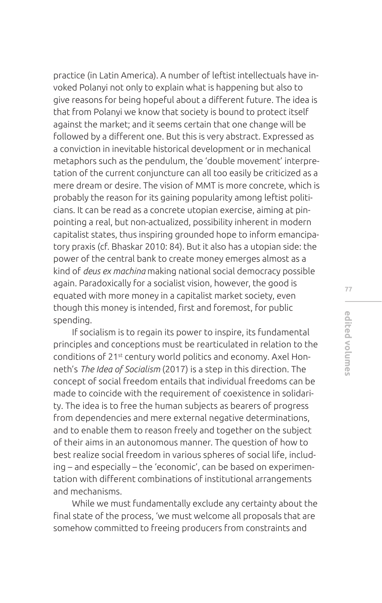practice (in Latin America). A number of leftist intellectuals have invoked Polanyi not only to explain what is happening but also to give reasons for being hopeful about a diferent future. The idea is that from Polanyi we know that society is bound to protect itself against the market; and it seems certain that one change will be followed by a diferent one. But this is very abstract. Expressed as a conviction in inevitable historical development or in mechanical metaphors such as the pendulum, the 'double movement' interpretation of the current conjuncture can all too easily be criticized as a mere dream or desire. The vision of MMT is more concrete, which is probably the reason for its gaining popularity among leftist politicians. It can be read as a concrete utopian exercise, aiming at pinpointing a real, but non-actualized, possibility inherent in modern capitalist states, thus inspiring grounded hope to inform emancipatory praxis (cf. Bhaskar 2010: 84). But it also has a utopian side: the power of the central bank to create money emerges almost as a kind of *deus ex machina* making national social democracy possible again. Paradoxically for a socialist vision, however, the good is equated with more money in a capitalist market society, even though this money is intended, frst and foremost, for public spending.

If socialism is to regain its power to inspire, its fundamental principles and conceptions must be rearticulated in relation to the conditions of 21st century world politics and economy. Axel Honneth's *The Idea of Socialism* (2017) is a step in this direction. The concept of social freedom entails that individual freedoms can be made to coincide with the requirement of coexistence in solidarity. The idea is to free the human subjects as bearers of progress from dependencies and mere external negative determinations, and to enable them to reason freely and together on the subject of their aims in an autonomous manner. The question of how to best realize social freedom in various spheres of social life, including – and especially – the 'economic', can be based on experimentation with diferent combinations of institutional arrangements and mechanisms.

While we must fundamentally exclude any certainty about the fnal state of the process, 'we must welcome all proposals that are somehow committed to freeing producers from constraints and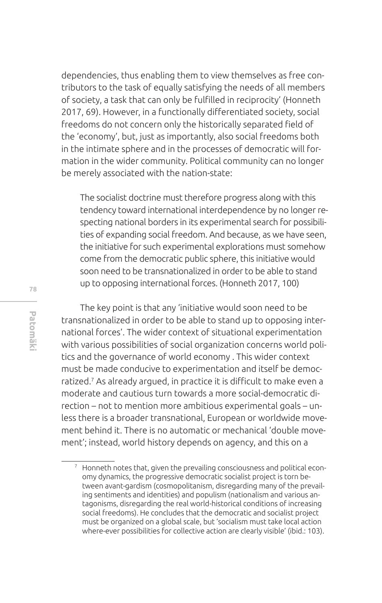dependencies, thus enabling them to view themselves as free contributors to the task of equally satisfying the needs of all members of society, a task that can only be fulflled in reciprocity' (Honneth 2017, 69). However, in a functionally diferentiated society, social freedoms do not concern only the historically separated field of the 'economy', but, just as importantly, also social freedoms both in the intimate sphere and in the processes of democratic will formation in the wider community. Political community can no longer be merely associated with the nation-state:

The socialist doctrine must therefore progress along with this tendency toward international interdependence by no longer respecting national borders in its experimental search for possibilities of expanding social freedom. And because, as we have seen, the initiative for such experimental explorations must somehow come from the democratic public sphere, this initiative would soon need to be transnationalized in order to be able to stand up to opposing international forces. (Honneth 2017, 100)

The key point is that any 'initiative would soon need to be transnationalized in order to be able to stand up to opposing international forces'. The wider context of situational experimentation with various possibilities of social organization concerns world politics and the governance of world economy . This wider context must be made conducive to experimentation and itself be democratized.<sup>7</sup> As already argued, in practice it is difficult to make even a moderate and cautious turn towards a more social-democratic direction – not to mention more ambitious experimental goals – unless there is a broader transnational, European or worldwide movement behind it. There is no automatic or mechanical 'double movement'; instead, world history depends on agency, and this on a

<sup>7</sup> Honneth notes that, given the prevailing consciousness and political economy dynamics, the progressive democratic socialist project is torn between avant-gardism (cosmopolitanism, disregarding many of the prevailing sentiments and identities) and populism (nationalism and various antagonisms, disregarding the real world-historical conditions of increasing social freedoms). He concludes that the democratic and socialist project must be organized on a global scale, but 'socialism must take local action where-ever possibilities for collective action are clearly visible' (ibid.: 103).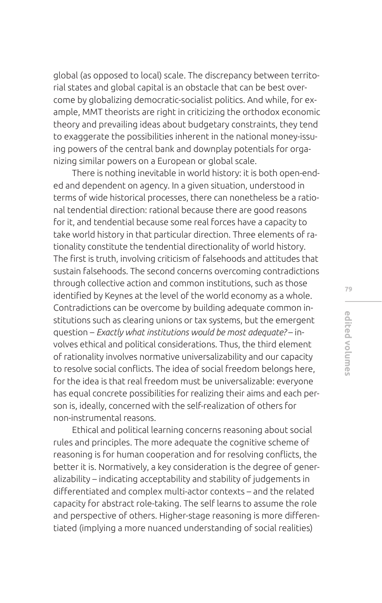global (as opposed to local) scale. The discrepancy between territorial states and global capital is an obstacle that can be best overcome by globalizing democratic-socialist politics. And while, for example, MMT theorists are right in criticizing the orthodox economic theory and prevailing ideas about budgetary constraints, they tend to exaggerate the possibilities inherent in the national money-issuing powers of the central bank and downplay potentials for organizing similar powers on a European or global scale.

There is nothing inevitable in world history: it is both open-ended and dependent on agency. In a given situation, understood in terms of wide historical processes, there can nonetheless be a rational tendential direction: rational because there are good reasons for it, and tendential because some real forces have a capacity to take world history in that particular direction. Three elements of rationality constitute the tendential directionality of world history. The frst is truth, involving criticism of falsehoods and attitudes that sustain falsehoods. The second concerns overcoming contradictions through collective action and common institutions, such as those identified by Keynes at the level of the world economy as a whole. Contradictions can be overcome by building adequate common institutions such as clearing unions or tax systems, but the emergent question – *Exactly what institutions would be most adequate?* – involves ethical and political considerations. Thus, the third element of rationality involves normative universalizability and our capacity to resolve social conficts. The idea of social freedom belongs here, for the idea is that real freedom must be universalizable: everyone has equal concrete possibilities for realizing their aims and each person is, ideally, concerned with the self-realization of others for non-instrumental reasons.

Ethical and political learning concerns reasoning about social rules and principles. The more adequate the cognitive scheme of reasoning is for human cooperation and for resolving conficts, the better it is. Normatively, a key consideration is the degree of generalizability – indicating acceptability and stability of judgements in diferentiated and complex multi-actor contexts – and the related capacity for abstract role-taking. The self learns to assume the role and perspective of others. Higher-stage reasoning is more diferentiated (implying a more nuanced understanding of social realities)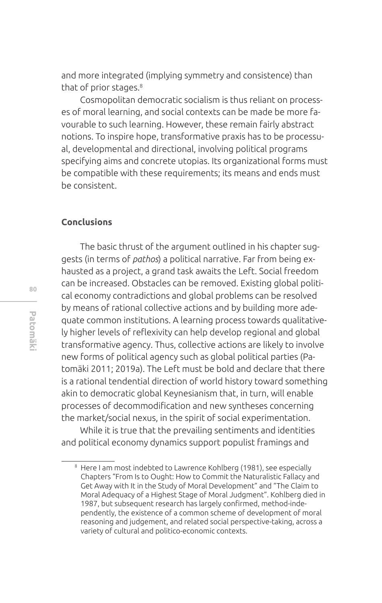and more integrated (implying symmetry and consistence) than that of prior stages.8

Cosmopolitan democratic socialism is thus reliant on processes of moral learning, and social contexts can be made be more favourable to such learning. However, these remain fairly abstract notions. To inspire hope, transformative praxis has to be processual, developmental and directional, involving political programs specifying aims and concrete utopias. Its organizational forms must be compatible with these requirements; its means and ends must be consistent.

### **Conclusions**

The basic thrust of the argument outlined in his chapter suggests (in terms of *pathos*) a political narrative. Far from being exhausted as a project, a grand task awaits the Left. Social freedom can be increased. Obstacles can be removed. Existing global political economy contradictions and global problems can be resolved by means of rational collective actions and by building more adequate common institutions. A learning process towards qualitatively higher levels of refexivity can help develop regional and global transformative agency. Thus, collective actions are likely to involve new forms of political agency such as global political parties (Patomäki 2011; 2019a). The Left must be bold and declare that there is a rational tendential direction of world history toward something akin to democratic global Keynesianism that, in turn, will enable processes of decommodification and new syntheses concerning the market/social nexus, in the spirit of social experimentation.

While it is true that the prevailing sentiments and identities and political economy dynamics support populist framings and

<sup>8</sup> Here I am most indebted to Lawrence Kohlberg (1981), see especially Chapters "From Is to Ought: How to Commit the Naturalistic Fallacy and Get Away with It in the Study of Moral Development" and "The Claim to Moral Adequacy of a Highest Stage of Moral Judgment". Kohlberg died in 1987, but subsequent research has largely confrmed, method-independently, the existence of a common scheme of development of moral reasoning and judgement, and related social perspective-taking, across a variety of cultural and politico-economic contexts.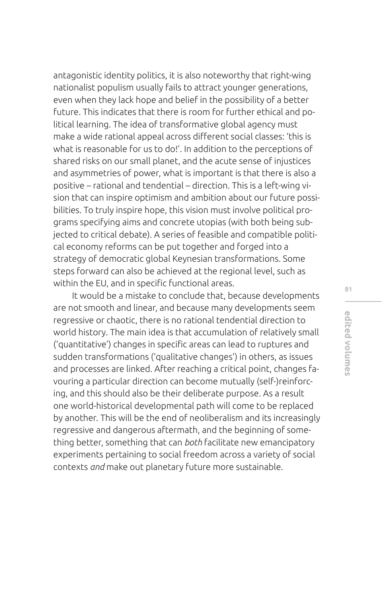antagonistic identity politics, it is also noteworthy that right-wing nationalist populism usually fails to attract younger generations, even when they lack hope and belief in the possibility of a better future. This indicates that there is room for further ethical and political learning. The idea of transformative global agency must make a wide rational appeal across diferent social classes: 'this is what is reasonable for us to do!'. In addition to the perceptions of shared risks on our small planet, and the acute sense of injustices and asymmetries of power, what is important is that there is also a positive – rational and tendential – direction. This is a left-wing vision that can inspire optimism and ambition about our future possibilities. To truly inspire hope, this vision must involve political programs specifying aims and concrete utopias (with both being subjected to critical debate). A series of feasible and compatible political economy reforms can be put together and forged into a strategy of democratic global Keynesian transformations. Some steps forward can also be achieved at the regional level, such as within the EU, and in specific functional areas.

It would be a mistake to conclude that, because developments are not smooth and linear, and because many developments seem regressive or chaotic, there is no rational tendential direction to world history. The main idea is that accumulation of relatively small ('quantitative') changes in specific areas can lead to ruptures and sudden transformations ('qualitative changes') in others, as issues and processes are linked. After reaching a critical point, changes favouring a particular direction can become mutually (self-)reinforcing, and this should also be their deliberate purpose. As a result one world-historical developmental path will come to be replaced by another. This will be the end of neoliberalism and its increasingly regressive and dangerous aftermath, and the beginning of something better, something that can *both* facilitate new emancipatory experiments pertaining to social freedom across a variety of social contexts *and* make out planetary future more sustainable.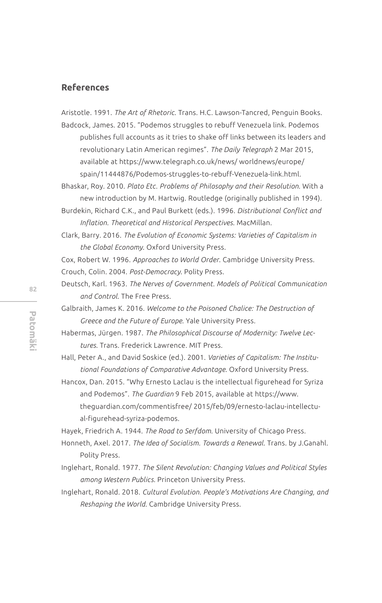### **References**

Aristotle. 1991. *The Art of Rhetoric*. Trans. H.C. Lawson-Tancred, Penguin Books. Badcock, James. 2015. "Podemos struggles to rebuff Venezuela link. Podemos

publishes full accounts as it tries to shake off links between its leaders and revolutionary Latin American regimes". *The Daily Telegraph* 2 Mar 2015, available at https://www.telegraph.co.uk/news/ worldnews/europe/ spain/11444876/Podemos-struggles-to-rebuff-Venezuela-link.html.

Bhaskar, Roy. 2010. *Plato Etc. Problems of Philosophy and their Resolution*. With a new introduction by M. Hartwig. Routledge (originally published in 1994).

Burdekin, Richard C.K., and Paul Burkett (eds.). 1996. *Distributional Conflict and Inflation. Theoretical and Historical Perspectives*. MacMillan.

Clark, Barry. 2016. *The Evolution of Economic Systems: Varieties of Capitalism in the Global Economy*. Oxford University Press.

Cox, Robert W. 1996. *Approaches to World Order*. Cambridge University Press. Crouch, Colin. 2004. *Post-Democracy*. Polity Press.

Deutsch, Karl. 1963. *The Nerves of Government. Models of Political Communication and Control*. The Free Press.

Galbraith, James K. 2016. *Welcome to the Poisoned Chalice: The Destruction of Greece and the Future of Europe*. Yale University Press.

Habermas, Jürgen. 1987. *The Philosophical Discourse of Modernity: Twelve Lectures*. Trans. Frederick Lawrence. MIT Press.

Hall, Peter A., and David Soskice (ed.). 2001. *Varieties of Capitalism: The Institutional Foundations of Comparative Advantage*. Oxford University Press.

Hancox, Dan. 2015. "Why Ernesto Laclau is the intellectual figurehead for Syriza and Podemos". *The Guardian* 9 Feb 2015, available at https://www. theguardian.com/commentisfree/ 2015/feb/09/ernesto-laclau-intellectual-figurehead-syriza-podemos.

Hayek, Friedrich A. 1944. *The Road to Serfdom*. University of Chicago Press.

Honneth, Axel. 2017. *The Idea of Socialism. Towards a Renewal*. Trans. by J.Ganahl. Polity Press.

Inglehart, Ronald. 1977. *The Silent Revolution: Changing Values and Political Styles among Western Publics*. Princeton University Press.

Inglehart, Ronald. 2018. *Cultural Evolution. People's Motivations Are Changing, and Reshaping the World*. Cambridge University Press.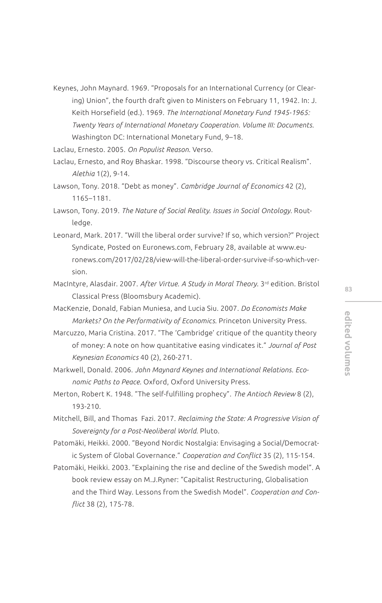Keynes, John Maynard. 1969. "Proposals for an International Currency (or Clearing) Union", the fourth draft given to Ministers on February 11, 1942. In: J. Keith Horsefield (ed.). 1969. *The International Monetary Fund 1945-1965: Twenty Years of International Monetary Cooperation. Volume III: Documents*. Washington DC: International Monetary Fund, 9–18.

Laclau, Ernesto. 2005. *On Populist Reason*. Verso.

Laclau, Ernesto, and Roy Bhaskar. 1998. "Discourse theory vs. Critical Realism". *Alethia* 1(2), 9-14.

- Lawson, Tony. 2018. "Debt as money". *Cambridge Journal of Economics* 42 (2), 1165–1181.
- Lawson, Tony. 2019. *The Nature of Social Reality. Issues in Social Ontology*. Routledge.
- Leonard, Mark. 2017. "Will the liberal order survive? If so, which version?" Project Syndicate, Posted on Euronews.com, February 28, available at www.euronews.com/2017/02/28/view-will-the-liberal-order-survive-if-so-which-version.
- MacIntyre, Alasdair. 2007. *After Virtue. A Study in Moral Theory*. 3rd edition. Bristol Classical Press (Bloomsbury Academic).
- MacKenzie, Donald, Fabian Muniesa, and Lucia Siu. 2007. *Do Economists Make Markets? On the Performativity of Economics*. Princeton University Press.
- Marcuzzo, Maria Cristina. 2017. "The 'Cambridge' critique of the quantity theory of money: A note on how quantitative easing vindicates it." *Journal of Post Keynesian Economics* 40 (2), 260-271.
- Markwell, Donald. 2006. *John Maynard Keynes and International Relations. Economic Paths to Peace*. Oxford, Oxford University Press.
- Merton, Robert K. 1948. "The self-fulfilling prophecy". *The Antioch Review* 8 (2), 193-210.
- Mitchell, Bill, and Thomas Fazi. 2017. *Reclaiming the State: A Progressive Vision of Sovereignty for a Post-Neoliberal World*. Pluto.
- Patomäki, Heikki. 2000. "Beyond Nordic Nostalgia: Envisaging a Social/Democratic System of Global Governance." *Cooperation and Conflict* 35 (2), 115-154.
- Patomäki, Heikki. 2003. "Explaining the rise and decline of the Swedish model". A book review essay on M.J.Ryner: "Capitalist Restructuring, Globalisation and the Third Way. Lessons from the Swedish Model". *Cooperation and Conflict* 38 (2), 175-78.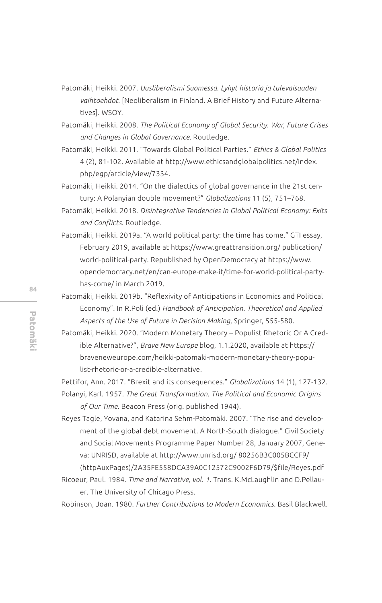- Patomäki, Heikki. 2007. *Uusliberalismi Suomessa. Lyhyt historia ja tulevaisuuden vaihtoehdot*. [Neoliberalism in Finland. A Brief History and Future Alternatives]. WSOY.
- Patomäki, Heikki. 2008. *The Political Economy of Global Security. War, Future Crises and Changes in Global Governance*. Routledge.
- Patomäki, Heikki. 2011. "Towards Global Political Parties." *Ethics & Global Politics* 4 (2), 81-102. Available at http://www.ethicsandglobalpolitics.net/index. php/egp/article/view/7334.
- Patomäki, Heikki. 2014. "On the dialectics of global governance in the 21st century: A Polanyian double movement?" *Globalizations* 11 (5), 751–768.
- Patomäki, Heikki. 2018. *Disintegrative Tendencies in Global Political Economy: Exits and Conflicts*. Routledge.
- Patomäki, Heikki. 2019a. "A world political party: the time has come." GTI essay, February 2019, available at https://www.greattransition.org/ publication/ world-political-party. Republished by OpenDemocracy at https://www. opendemocracy.net/en/can-europe-make-it/time-for-world-political-partyhas-come/ in March 2019.
- Patomäki, Heikki. 2019b. "Reflexivity of Anticipations in Economics and Political Economy". In R.Poli (ed.) *Handbook of Anticipation. Theoretical and Applied Aspects of the Use of Future in Decision Making*, Springer, 555-580.
- Patomäki, Heikki. 2020. "Modern Monetary Theory Populist Rhetoric Or A Credible Alternative?", *Brave New Europe* blog, 1.1.2020, available at https:// braveneweurope.com/heikki-patomaki-modern-monetary-theory-populist-rhetoric-or-a-credible-alternative.

Pettifor, Ann. 2017. "Brexit and its consequences." *Globalizations* 14 (1), 127-132. Polanyi, Karl. 1957. *The Great Transformation. The Political and Economic Origins* 

*of Our Time*. Beacon Press (orig. published 1944).

- Reyes Tagle, Yovana, and Katarina Sehm-Patomäki. 2007. "The rise and development of the global debt movement. A North-South dialogue." Civil Society and Social Movements Programme Paper Number 28, January 2007, Geneva: UNRISD, available at http://www.unrisd.org/ 80256B3C005BCCF9/ (httpAuxPages)/2A35FE558DCA39A0C12572C9002F6D79/\$file/Reyes.pdf
- Ricoeur, Paul. 1984. *Time and Narrative, vol. 1*. Trans. K.McLaughlin and D.Pellauer. The University of Chicago Press.

Robinson, Joan. 1980. *Further Contributions to Modern Economics*. Basil Blackwell.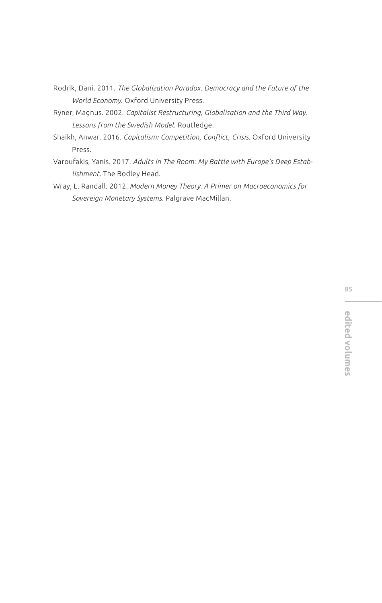- Rodrik, Dani. 2011. *The Globalization Paradox. Democracy and the Future of the World Economy*. Oxford University Press.
- Ryner, Magnus. 2002. *Capitalist Restructuring, Globalisation and the Third Way. Lessons from the Swedish Model*. Routledge.
- Shaikh, Anwar. 2016. *Capitalism: Competition, Conflict, Crisis*. Oxford University Press.
- Varoufakis, Yanis. 2017. *Adults In The Room: My Battle with Europe's Deep Establishment*. The Bodley Head.
- Wray, L. Randall. 2012. *Modern Money Theory. A Primer on Macroeconomics for Sovereign Monetary Systems*. Palgrave MacMillan.